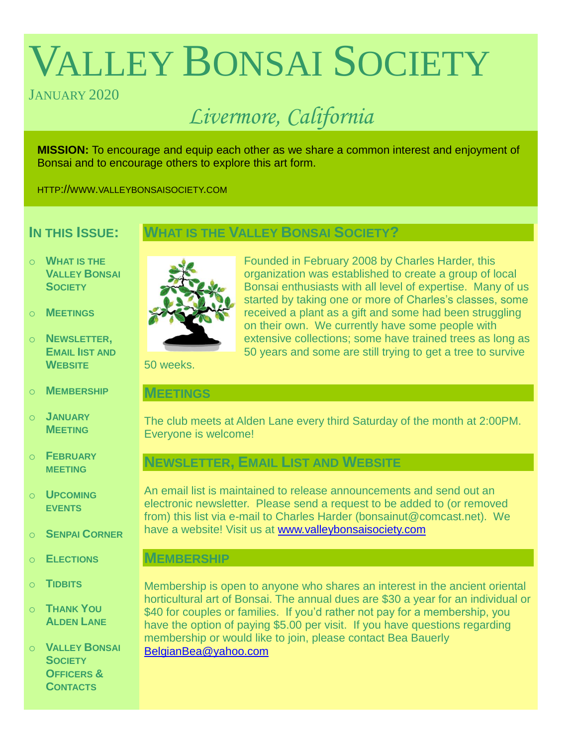# VALLEY BONSAI SOCIETY

# JANUARY 2020

# *Livermore, California*

**MISSION:** To encourage and equip each other as we share a common interest and enjoyment of Bonsai and to encourage others to explore this art form.

HTTP://WWW.VALLEYBONSAISOCIETY.COM

# **IN THIS ISSUE:**

# **WHAT IS THE VALLEY BONSAI SOCIETY?**

- o **WHAT IS THE VALLEY BONSAI SOCIETY**
- o **MEETINGS**
- o **NEWSLETTER, EMAIL IIST AND WEBSITE**
- o **MEMBERSHIP**
- o **JANUARY MEETING**
- o **FEBRUARY MEETING**
- o **UPCOMING EVENTS**
- o **SENPAI CORNER**
- o **ELECTIONS**
- o **TIDBITS**
- o **THANK YOU ALDEN LANE**

o **VALLEY BONSAI SOCIETY OFFICERS & CONTACTS**



Founded in February 2008 by Charles Harder, this organization was established to create a group of local Bonsai enthusiasts with all level of expertise. Many of us started by taking one or more of Charles's classes, some received a plant as a gift and some had been struggling on their own. We currently have some people with extensive collections; some have trained trees as long as 50 years and some are still trying to get a tree to survive

50 weeks.

#### **MEETINGS**

The club meets at Alden Lane every third Saturday of the month at 2:00PM. Everyone is welcome!

# **NEWSLETTER, EMAIL LIST AND WEBSITE**

An email list is maintained to release announcements and send out an electronic newsletter. Please send a request to be added to (or removed from) this list via e-mail to Charles Harder (bonsainut@comcast.net). We have a website! Visit us at [www.valleybonsaisociety.com](http://www.valleybonsaisociety.com/)

### **MEMBERSHIP**

Membership is open to anyone who shares an interest in the ancient oriental horticultural art of Bonsai. The annual dues are \$30 a year for an individual or \$40 for couples or families. If you'd rather not pay for a membership, you have the option of paying \$5.00 per visit. If you have questions regarding membership or would like to join, please contact Bea Bauerly [BelgianBea@yahoo.com](mailto:BelgianBea@yahoo.com)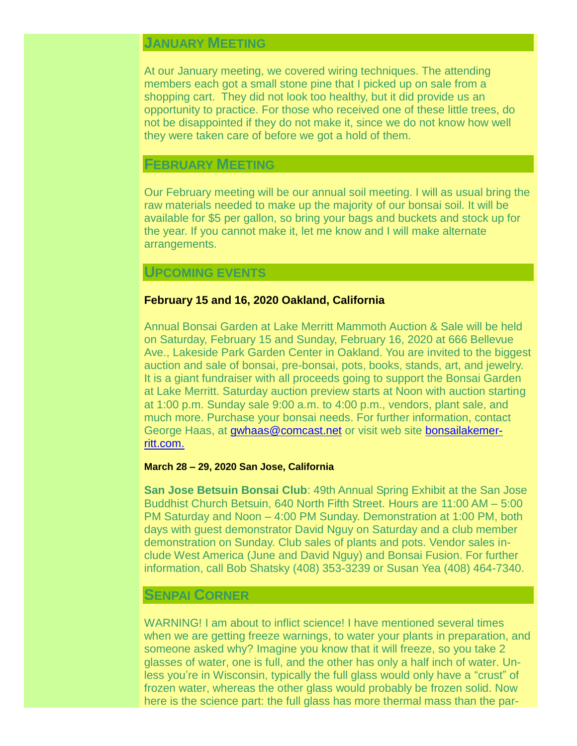## **JANUARY MEETING**

At our January meeting, we covered wiring techniques. The attending members each got a small stone pine that I picked up on sale from a shopping cart. They did not look too healthy, but it did provide us an opportunity to practice. For those who received one of these little trees, do not be disappointed if they do not make it, since we do not know how well they were taken care of before we got a hold of them.

#### **FEBRUARY MEETING**

Our February meeting will be our annual soil meeting. I will as usual bring the raw materials needed to make up the majority of our bonsai soil. It will be available for \$5 per gallon, so bring your bags and buckets and stock up for the year. If you cannot make it, let me know and I will make alternate arrangements.

#### **UPCOMING EVENTS**

#### **February 15 and 16, 2020 Oakland, California**

Annual Bonsai Garden at Lake Merritt Mammoth Auction & Sale will be held on Saturday, February 15 and Sunday, February 16, 2020 at 666 Bellevue Ave., Lakeside Park Garden Center in Oakland. You are invited to the biggest auction and sale of bonsai, pre-bonsai, pots, books, stands, art, and jewelry. It is a giant fundraiser with all proceeds going to support the Bonsai Garden at Lake Merritt. Saturday auction preview starts at Noon with auction starting at 1:00 p.m. Sunday sale 9:00 a.m. to 4:00 p.m., vendors, plant sale, and much more. Purchase your bonsai needs. For further information, contact George Haas, at [gwhaas@comcast.net](mailto:gwhaas@comcast.net) or visit web site [bonsailakemer](https://www.bonsailakemerritt.com/)[ritt.com.](https://www.bonsailakemerritt.com/)

#### **March 28 – 29, 2020 San Jose, California**

**San Jose Betsuin Bonsai Club**: 49th Annual Spring Exhibit at the San Jose Buddhist Church Betsuin, 640 North Fifth Street. Hours are 11:00 AM – 5:00 PM Saturday and Noon – 4:00 PM Sunday. Demonstration at 1:00 PM, both days with guest demonstrator David Nguy on Saturday and a club member demonstration on Sunday. Club sales of plants and pots. Vendor sales include West America (June and David Nguy) and Bonsai Fusion. For further information, call Bob Shatsky (408) 353-3239 or Susan Yea (408) 464-7340.

#### **SENPAI CORNER**

WARNING! I am about to inflict science! I have mentioned several times when we are getting freeze warnings, to water your plants in preparation, and someone asked why? Imagine you know that it will freeze, so you take 2 glasses of water, one is full, and the other has only a half inch of water. Unless you're in Wisconsin, typically the full glass would only have a "crust" of frozen water, whereas the other glass would probably be frozen solid. Now here is the science part: the full glass has more thermal mass than the par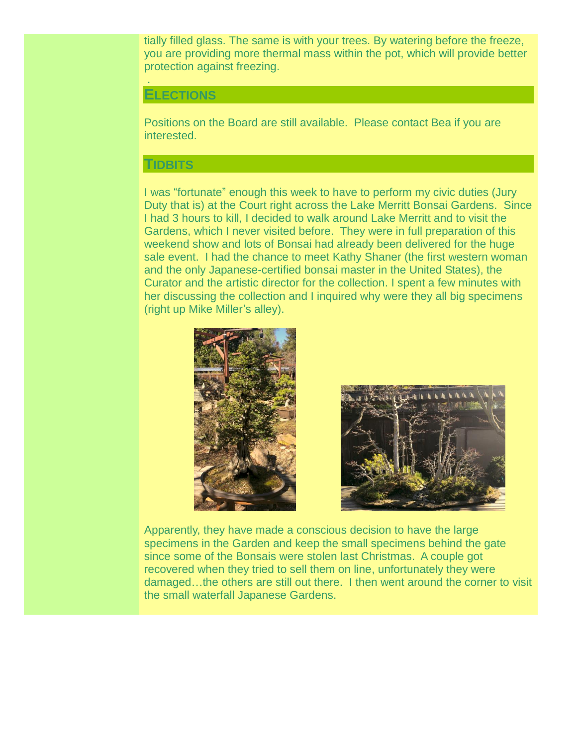tially filled glass. The same is with your trees. By watering before the freeze, you are providing more thermal mass within the pot, which will provide better protection against freezing.

#### **ELECTIONS**

.

Positions on the Board are still available. Please contact Bea if you are interested.

#### **TIDBITS**

I was "fortunate" enough this week to have to perform my civic duties (Jury Duty that is) at the Court right across the Lake Merritt Bonsai Gardens. Since I had 3 hours to kill, I decided to walk around Lake Merritt and to visit the Gardens, which I never visited before. They were in full preparation of this weekend show and lots of Bonsai had already been delivered for the huge sale event. I had the chance to meet Kathy Shaner (the first western woman and the only Japanese-certified bonsai master in the United States), the Curator and the artistic director for the collection. I spent a few minutes with her discussing the collection and I inquired why were they all big specimens (right up Mike Miller's alley).





Apparently, they have made a conscious decision to have the large specimens in the Garden and keep the small specimens behind the gate since some of the Bonsais were stolen last Christmas. A couple got recovered when they tried to sell them on line, unfortunately they were damaged…the others are still out there. I then went around the corner to visit the small waterfall Japanese Gardens.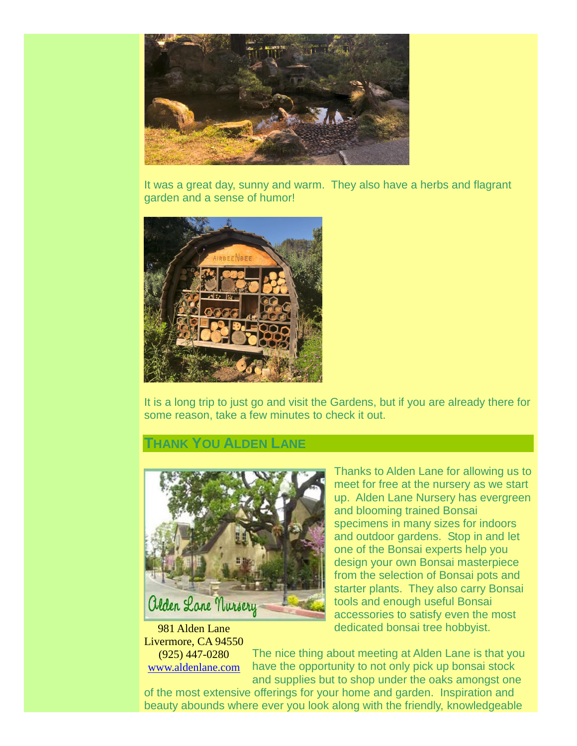

It was a great day, sunny and warm. They also have a herbs and flagrant garden and a sense of humor!



It is a long trip to just go and visit the Gardens, but if you are already there for some reason, take a few minutes to check it out.

# **THANK YOU ALDEN LANE**



981 Alden Lane Livermore, CA 94550

(925) 447-0280 [www.aldenlane.com](http://www.aldenlane.com/) Thanks to Alden Lane for allowing us to meet for free at the nursery as we start up. Alden Lane Nursery has evergreen and blooming trained Bonsai specimens in many sizes for indoors and outdoor gardens. Stop in and let one of the Bonsai experts help you design your own Bonsai masterpiece from the selection of Bonsai pots and starter plants. They also carry Bonsai tools and enough useful Bonsai accessories to satisfy even the most dedicated bonsai tree hobbyist.

The nice thing about meeting at Alden Lane is that you have the opportunity to not only pick up bonsai stock and supplies but to shop under the oaks amongst one

of the most extensive offerings for your home and garden. Inspiration and beauty abounds where ever you look along with the friendly, knowledgeable